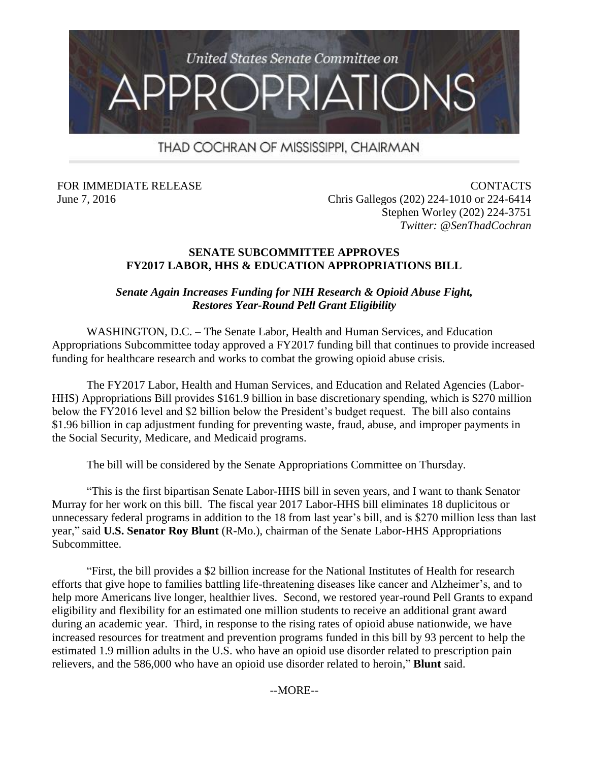

# THAD COCHRAN OF MISSISSIPPI, CHAIRMAN

FOR IMMEDIATE RELEASE June 7, 2016

CONTACTS Chris Gallegos (202) 224-1010 or 224-6414 Stephen Worley (202) 224-3751 *Twitter: @SenThadCochran*

#### **SENATE SUBCOMMITTEE APPROVES FY2017 LABOR, HHS & EDUCATION APPROPRIATIONS BILL**

### *Senate Again Increases Funding for NIH Research & Opioid Abuse Fight, Restores Year-Round Pell Grant Eligibility*

WASHINGTON, D.C. – The Senate Labor, Health and Human Services, and Education Appropriations Subcommittee today approved a FY2017 funding bill that continues to provide increased funding for healthcare research and works to combat the growing opioid abuse crisis.

The FY2017 Labor, Health and Human Services, and Education and Related Agencies (Labor-HHS) Appropriations Bill provides \$161.9 billion in base discretionary spending, which is \$270 million below the FY2016 level and \$2 billion below the President's budget request. The bill also contains \$1.96 billion in cap adjustment funding for preventing waste, fraud, abuse, and improper payments in the Social Security, Medicare, and Medicaid programs.

The bill will be considered by the Senate Appropriations Committee on Thursday.

"This is the first bipartisan Senate Labor-HHS bill in seven years, and I want to thank Senator Murray for her work on this bill. The fiscal year 2017 Labor-HHS bill eliminates 18 duplicitous or unnecessary federal programs in addition to the 18 from last year's bill, and is \$270 million less than last year," said **U.S. Senator Roy Blunt** (R-Mo.), chairman of the Senate Labor-HHS Appropriations Subcommittee.

"First, the bill provides a \$2 billion increase for the National Institutes of Health for research efforts that give hope to families battling life-threatening diseases like cancer and Alzheimer's, and to help more Americans live longer, healthier lives. Second, we restored year-round Pell Grants to expand eligibility and flexibility for an estimated one million students to receive an additional grant award during an academic year. Third, in response to the rising rates of opioid abuse nationwide, we have increased resources for treatment and prevention programs funded in this bill by 93 percent to help the estimated 1.9 million adults in the U.S. who have an opioid use disorder related to prescription pain relievers, and the 586,000 who have an opioid use disorder related to heroin," **Blunt** said.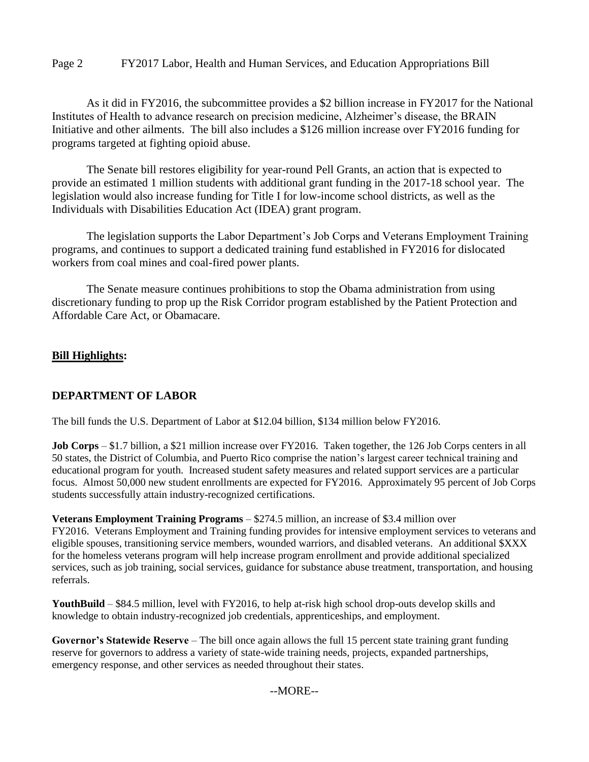#### Page 2 FY2017 Labor, Health and Human Services, and Education Appropriations Bill

As it did in FY2016, the subcommittee provides a \$2 billion increase in FY2017 for the National Institutes of Health to advance research on precision medicine, Alzheimer's disease, the BRAIN Initiative and other ailments. The bill also includes a \$126 million increase over FY2016 funding for programs targeted at fighting opioid abuse.

The Senate bill restores eligibility for year-round Pell Grants, an action that is expected to provide an estimated 1 million students with additional grant funding in the 2017-18 school year. The legislation would also increase funding for Title I for low-income school districts, as well as the Individuals with Disabilities Education Act (IDEA) grant program.

The legislation supports the Labor Department's Job Corps and Veterans Employment Training programs, and continues to support a dedicated training fund established in FY2016 for dislocated workers from coal mines and coal-fired power plants.

The Senate measure continues prohibitions to stop the Obama administration from using discretionary funding to prop up the Risk Corridor program established by the Patient Protection and Affordable Care Act, or Obamacare.

#### **Bill Highlights:**

### **DEPARTMENT OF LABOR**

The bill funds the U.S. Department of Labor at \$12.04 billion, \$134 million below FY2016.

**Job Corps** – \$1.7 billion, a \$21 million increase over FY2016. Taken together, the 126 Job Corps centers in all 50 states, the District of Columbia, and Puerto Rico comprise the nation's largest career technical training and educational program for youth. Increased student safety measures and related support services are a particular focus. Almost 50,000 new student enrollments are expected for FY2016. Approximately 95 percent of Job Corps students successfully attain industry-recognized certifications.

**Veterans Employment Training Programs** – \$274.5 million, an increase of \$3.4 million over FY2016. Veterans Employment and Training funding provides for intensive employment services to veterans and eligible spouses, transitioning service members, wounded warriors, and disabled veterans. An additional \$XXX for the homeless veterans program will help increase program enrollment and provide additional specialized services, such as job training, social services, guidance for substance abuse treatment, transportation, and housing referrals.

**YouthBuild** – \$84.5 million, level with FY2016, to help at-risk high school drop-outs develop skills and knowledge to obtain industry-recognized job credentials, apprenticeships, and employment.

**Governor's Statewide Reserve** – The bill once again allows the full 15 percent state training grant funding reserve for governors to address a variety of state-wide training needs, projects, expanded partnerships, emergency response, and other services as needed throughout their states.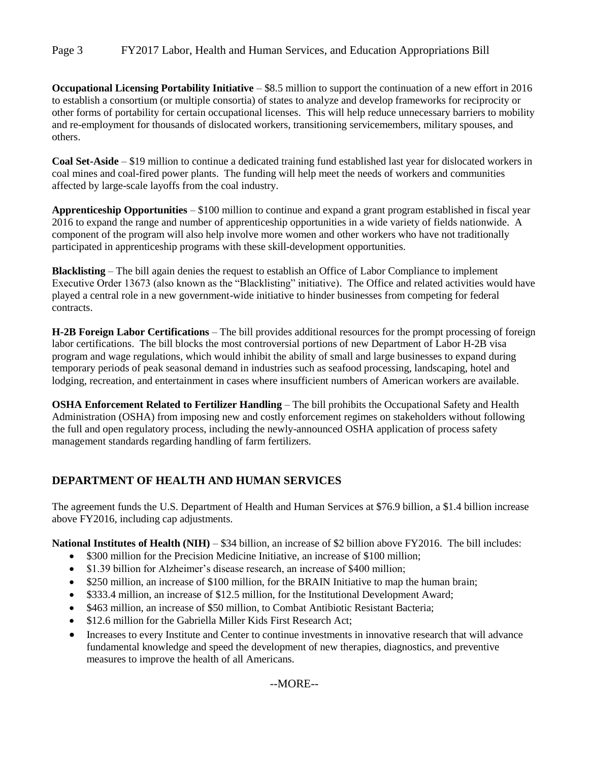Page 3 FY2017 Labor, Health and Human Services, and Education Appropriations Bill

**Occupational Licensing Portability Initiative** – \$8.5 million to support the continuation of a new effort in 2016 to establish a consortium (or multiple consortia) of states to analyze and develop frameworks for reciprocity or other forms of portability for certain occupational licenses. This will help reduce unnecessary barriers to mobility and re-employment for thousands of dislocated workers, transitioning servicemembers, military spouses, and others.

**Coal Set-Aside** – \$19 million to continue a dedicated training fund established last year for dislocated workers in coal mines and coal-fired power plants. The funding will help meet the needs of workers and communities affected by large-scale layoffs from the coal industry.

**Apprenticeship Opportunities** – \$100 million to continue and expand a grant program established in fiscal year 2016 to expand the range and number of apprenticeship opportunities in a wide variety of fields nationwide. A component of the program will also help involve more women and other workers who have not traditionally participated in apprenticeship programs with these skill-development opportunities.

**Blacklisting** – The bill again denies the request to establish an Office of Labor Compliance to implement Executive Order 13673 (also known as the "Blacklisting" initiative). The Office and related activities would have played a central role in a new government-wide initiative to hinder businesses from competing for federal contracts.

**H-2B Foreign Labor Certifications** – The bill provides additional resources for the prompt processing of foreign labor certifications. The bill blocks the most controversial portions of new Department of Labor H-2B visa program and wage regulations, which would inhibit the ability of small and large businesses to expand during temporary periods of peak seasonal demand in industries such as seafood processing, landscaping, hotel and lodging, recreation, and entertainment in cases where insufficient numbers of American workers are available.

**OSHA Enforcement Related to Fertilizer Handling** – The bill prohibits the Occupational Safety and Health Administration (OSHA) from imposing new and costly enforcement regimes on stakeholders without following the full and open regulatory process, including the newly-announced OSHA application of process safety management standards regarding handling of farm fertilizers.

## **DEPARTMENT OF HEALTH AND HUMAN SERVICES**

The agreement funds the U.S. Department of Health and Human Services at \$76.9 billion, a \$1.4 billion increase above FY2016, including cap adjustments.

**National Institutes of Health (NIH)** – \$34 billion, an increase of \$2 billion above FY2016. The bill includes:

- \$300 million for the Precision Medicine Initiative, an increase of \$100 million;
- \$1.39 billion for Alzheimer's disease research, an increase of \$400 million;
- \$250 million, an increase of \$100 million, for the BRAIN Initiative to map the human brain;
- \$333.4 million, an increase of \$12.5 million, for the Institutional Development Award;
- \$463 million, an increase of \$50 million, to Combat Antibiotic Resistant Bacteria;
- \$12.6 million for the Gabriella Miller Kids First Research Act;
- Increases to every Institute and Center to continue investments in innovative research that will advance fundamental knowledge and speed the development of new therapies, diagnostics, and preventive measures to improve the health of all Americans.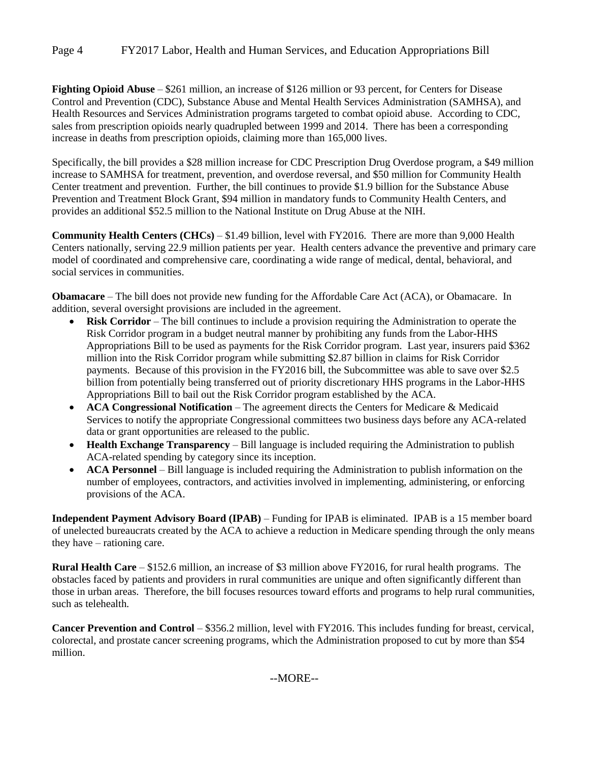**Fighting Opioid Abuse** – \$261 million, an increase of \$126 million or 93 percent, for Centers for Disease Control and Prevention (CDC), Substance Abuse and Mental Health Services Administration (SAMHSA), and Health Resources and Services Administration programs targeted to combat opioid abuse. According to CDC, sales from prescription opioids nearly quadrupled between 1999 and 2014. There has been a corresponding increase in deaths from prescription opioids, claiming more than 165,000 lives.

Specifically, the bill provides a \$28 million increase for CDC Prescription Drug Overdose program, a \$49 million increase to SAMHSA for treatment, prevention, and overdose reversal, and \$50 million for Community Health Center treatment and prevention. Further, the bill continues to provide \$1.9 billion for the Substance Abuse Prevention and Treatment Block Grant, \$94 million in mandatory funds to Community Health Centers, and provides an additional \$52.5 million to the National Institute on Drug Abuse at the NIH.

**Community Health Centers (CHCs)** – \$1.49 billion, level with FY2016. There are more than 9,000 Health Centers nationally, serving 22.9 million patients per year. Health centers advance the preventive and primary care model of coordinated and comprehensive care, coordinating a wide range of medical, dental, behavioral, and social services in communities.

**Obamacare** – The bill does not provide new funding for the Affordable Care Act (ACA), or Obamacare. In addition, several oversight provisions are included in the agreement.

- **Risk Corridor** The bill continues to include a provision requiring the Administration to operate the Risk Corridor program in a budget neutral manner by prohibiting any funds from the Labor-HHS Appropriations Bill to be used as payments for the Risk Corridor program. Last year, insurers paid \$362 million into the Risk Corridor program while submitting \$2.87 billion in claims for Risk Corridor payments. Because of this provision in the FY2016 bill, the Subcommittee was able to save over \$2.5 billion from potentially being transferred out of priority discretionary HHS programs in the Labor-HHS Appropriations Bill to bail out the Risk Corridor program established by the ACA.
- **ACA Congressional Notification** The agreement directs the Centers for Medicare & Medicaid Services to notify the appropriate Congressional committees two business days before any ACA-related data or grant opportunities are released to the public.
- **Health Exchange Transparency** Bill language is included requiring the Administration to publish ACA-related spending by category since its inception.
- **ACA Personnel** Bill language is included requiring the Administration to publish information on the number of employees, contractors, and activities involved in implementing, administering, or enforcing provisions of the ACA.

**Independent Payment Advisory Board (IPAB)** – Funding for IPAB is eliminated. IPAB is a 15 member board of unelected bureaucrats created by the ACA to achieve a reduction in Medicare spending through the only means they have – rationing care.

**Rural Health Care** – \$152.6 million, an increase of \$3 million above FY2016, for rural health programs. The obstacles faced by patients and providers in rural communities are unique and often significantly different than those in urban areas. Therefore, the bill focuses resources toward efforts and programs to help rural communities, such as telehealth.

**Cancer Prevention and Control** – \$356.2 million, level with FY2016. This includes funding for breast, cervical, colorectal, and prostate cancer screening programs, which the Administration proposed to cut by more than \$54 million.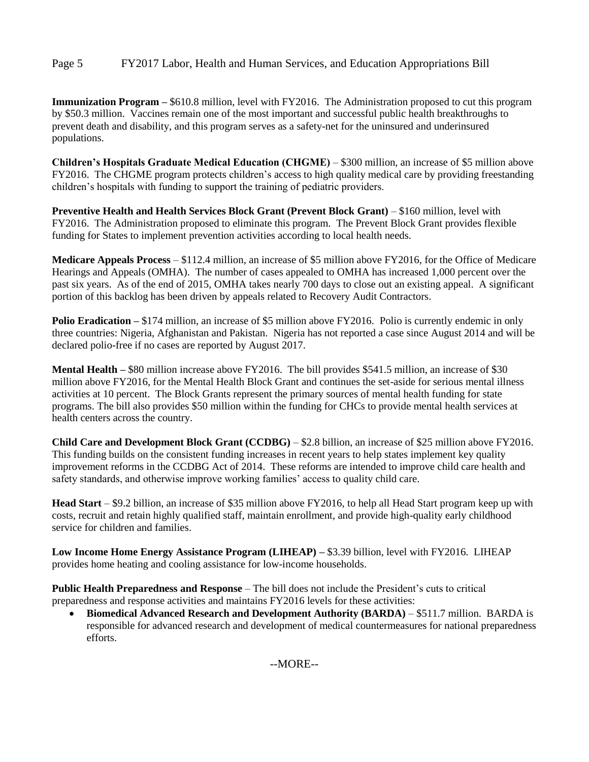**Immunization Program –** \$610.8 million, level with FY2016. The Administration proposed to cut this program by \$50.3 million. Vaccines remain one of the most important and successful public health breakthroughs to prevent death and disability, and this program serves as a safety-net for the uninsured and underinsured populations.

**Children's Hospitals Graduate Medical Education (CHGME)** – \$300 million, an increase of \$5 million above FY2016. The CHGME program protects children's access to high quality medical care by providing freestanding children's hospitals with funding to support the training of pediatric providers.

**Preventive Health and Health Services Block Grant (Prevent Block Grant)** – \$160 million, level with FY2016. The Administration proposed to eliminate this program. The Prevent Block Grant provides flexible funding for States to implement prevention activities according to local health needs.

**Medicare Appeals Process** – \$112.4 million, an increase of \$5 million above FY2016, for the Office of Medicare Hearings and Appeals (OMHA). The number of cases appealed to OMHA has increased 1,000 percent over the past six years. As of the end of 2015, OMHA takes nearly 700 days to close out an existing appeal. A significant portion of this backlog has been driven by appeals related to Recovery Audit Contractors.

**Polio Eradication –** \$174 million, an increase of \$5 million above FY2016. Polio is currently endemic in only three countries: Nigeria, Afghanistan and Pakistan. Nigeria has not reported a case since August 2014 and will be declared polio-free if no cases are reported by August 2017.

**Mental Health –** \$80 million increase above FY2016.The bill provides \$541.5 million, an increase of \$30 million above FY2016, for the Mental Health Block Grant and continues the set-aside for serious mental illness activities at 10 percent. The Block Grants represent the primary sources of mental health funding for state programs. The bill also provides \$50 million within the funding for CHCs to provide mental health services at health centers across the country.

**Child Care and Development Block Grant (CCDBG)** – \$2.8 billion, an increase of \$25 million above FY2016. This funding builds on the consistent funding increases in recent years to help states implement key quality improvement reforms in the CCDBG Act of 2014. These reforms are intended to improve child care health and safety standards, and otherwise improve working families' access to quality child care.

**Head Start** – \$9.2 billion, an increase of \$35 million above FY2016, to help all Head Start program keep up with costs, recruit and retain highly qualified staff, maintain enrollment, and provide high-quality early childhood service for children and families.

**Low Income Home Energy Assistance Program (LIHEAP) –** \$3.39 billion, level with FY2016. LIHEAP provides home heating and cooling assistance for low-income households.

**Public Health Preparedness and Response** – The bill does not include the President's cuts to critical preparedness and response activities and maintains FY2016 levels for these activities:

 **Biomedical Advanced Research and Development Authority (BARDA)** – \$511.7 million. BARDA is responsible for advanced research and development of medical countermeasures for national preparedness efforts.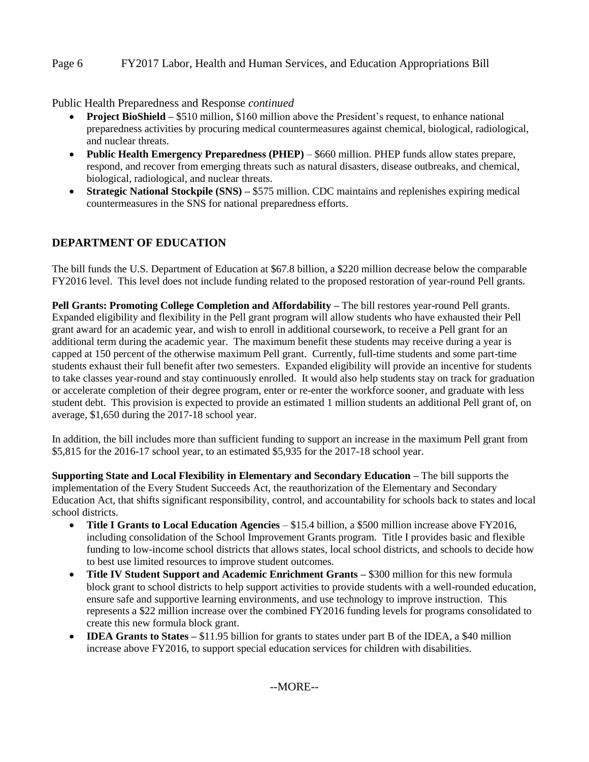### Page 6 FY2017 Labor, Health and Human Services, and Education Appropriations Bill

Public Health Preparedness and Response *continued*

- **Project BioShield –** \$510 million, \$160 million above the President's request, to enhance national preparedness activities by procuring medical countermeasures against chemical, biological, radiological, and nuclear threats.
- **Public Health Emergency Preparedness (PHEP)** \$660 million. PHEP funds allow states prepare, respond, and recover from emerging threats such as natural disasters, disease outbreaks, and chemical, biological, radiological, and nuclear threats.
- **Strategic National Stockpile (SNS) –** \$575 million. CDC maintains and replenishes expiring medical countermeasures in the SNS for national preparedness efforts.

### **DEPARTMENT OF EDUCATION**

The bill funds the U.S. Department of Education at \$67.8 billion, a \$220 million decrease below the comparable FY2016 level. This level does not include funding related to the proposed restoration of year-round Pell grants.

**Pell Grants: Promoting College Completion and Affordability –** The bill restores year-round Pell grants. Expanded eligibility and flexibility in the Pell grant program will allow students who have exhausted their Pell grant award for an academic year, and wish to enroll in additional coursework, to receive a Pell grant for an additional term during the academic year. The maximum benefit these students may receive during a year is capped at 150 percent of the otherwise maximum Pell grant. Currently, full-time students and some part-time students exhaust their full benefit after two semesters. Expanded eligibility will provide an incentive for students to take classes year-round and stay continuously enrolled. It would also help students stay on track for graduation or accelerate completion of their degree program, enter or re-enter the workforce sooner, and graduate with less student debt. This provision is expected to provide an estimated 1 million students an additional Pell grant of, on average, \$1,650 during the 2017-18 school year.

In addition, the bill includes more than sufficient funding to support an increase in the maximum Pell grant from \$5,815 for the 2016-17 school year, to an estimated \$5,935 for the 2017-18 school year.

**Supporting State and Local Flexibility in Elementary and Secondary Education –** The bill supports the implementation of the Every Student Succeeds Act, the reauthorization of the Elementary and Secondary Education Act, that shifts significant responsibility, control, and accountability for schools back to states and local school districts.

- **Title I Grants to Local Education Agencies** \$15.4 billion, a \$500 million increase above FY2016, including consolidation of the School Improvement Grants program. Title I provides basic and flexible funding to low-income school districts that allows states, local school districts, and schools to decide how to best use limited resources to improve student outcomes.
- **Title IV Student Support and Academic Enrichment Grants \$300 million for this new formula** block grant to school districts to help support activities to provide students with a well-rounded education, ensure safe and supportive learning environments, and use technology to improve instruction.This represents a \$22 million increase over the combined FY2016 funding levels for programs consolidated to create this new formula block grant.
- **IDEA Grants to States** \$11.95 billion for grants to states under part B of the IDEA, a \$40 million increase above FY2016, to support special education services for children with disabilities.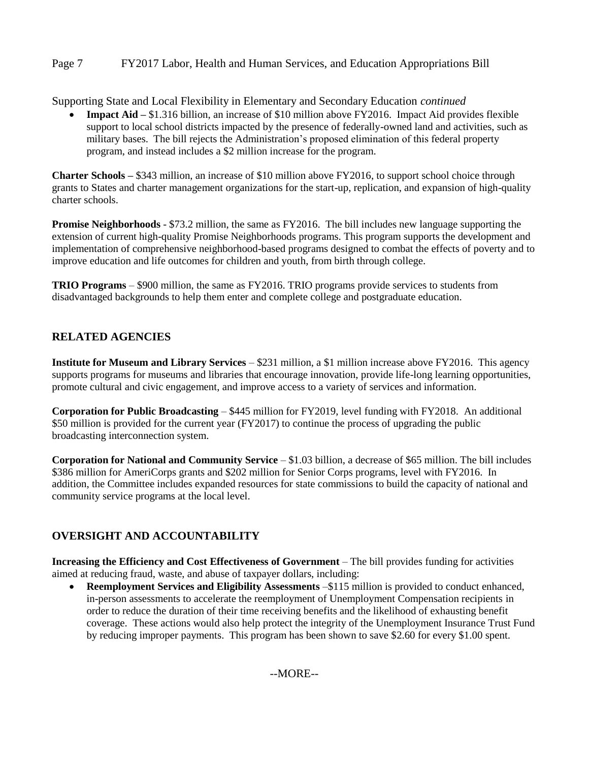### Page 7 FY2017 Labor, Health and Human Services, and Education Appropriations Bill

Supporting State and Local Flexibility in Elementary and Secondary Education *continued*

 **Impact Aid –** \$1.316 billion, an increase of \$10 million above FY2016. Impact Aid provides flexible support to local school districts impacted by the presence of federally-owned land and activities, such as military bases. The bill rejects the Administration's proposed elimination of this federal property program, and instead includes a \$2 million increase for the program.

**Charter Schools –** \$343 million, an increase of \$10 million above FY2016, to support school choice through grants to States and charter management organizations for the start-up, replication, and expansion of high-quality charter schools.

**Promise Neighborhoods** - \$73.2 million, the same as FY2016. The bill includes new language supporting the extension of current high-quality Promise Neighborhoods programs. This program supports the development and implementation of comprehensive neighborhood-based programs designed to combat the effects of poverty and to improve education and life outcomes for children and youth, from birth through college.

**TRIO Programs** – \$900 million, the same as FY2016. TRIO programs provide services to students from disadvantaged backgrounds to help them enter and complete college and postgraduate education.

### **RELATED AGENCIES**

**Institute for Museum and Library Services** – \$231 million, a \$1 million increase above FY2016. This agency supports programs for museums and libraries that encourage innovation, provide life-long learning opportunities, promote cultural and civic engagement, and improve access to a variety of services and information.

**Corporation for Public Broadcasting** – \$445 million for FY2019, level funding with FY2018. An additional \$50 million is provided for the current year (FY2017) to continue the process of upgrading the public broadcasting interconnection system.

**Corporation for National and Community Service** – \$1.03 billion, a decrease of \$65 million. The bill includes \$386 million for AmeriCorps grants and \$202 million for Senior Corps programs, level with FY2016. In addition, the Committee includes expanded resources for state commissions to build the capacity of national and community service programs at the local level.

### **OVERSIGHT AND ACCOUNTABILITY**

**Increasing the Efficiency and Cost Effectiveness of Government** – The bill provides funding for activities aimed at reducing fraud, waste, and abuse of taxpayer dollars, including:

 **Reemployment Services and Eligibility Assessments** –\$115 million is provided to conduct enhanced, in-person assessments to accelerate the reemployment of Unemployment Compensation recipients in order to reduce the duration of their time receiving benefits and the likelihood of exhausting benefit coverage. These actions would also help protect the integrity of the Unemployment Insurance Trust Fund by reducing improper payments. This program has been shown to save \$2.60 for every \$1.00 spent.